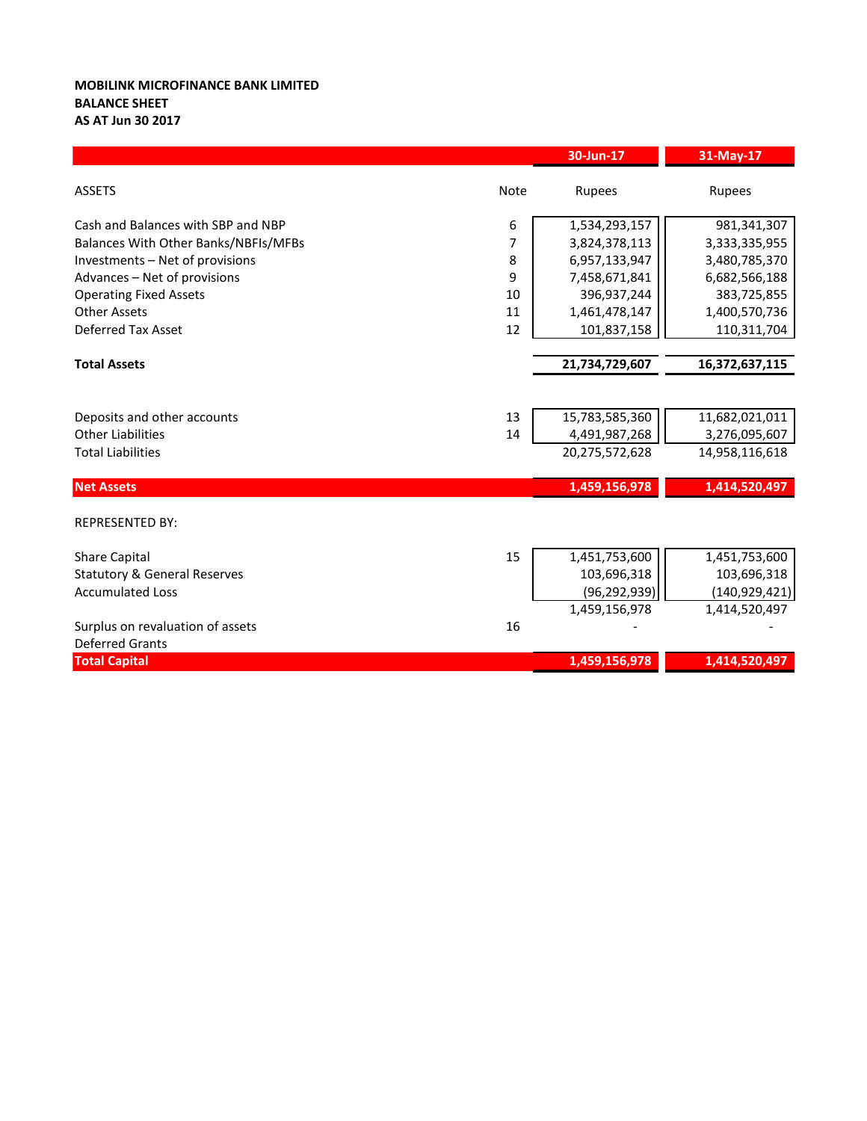## **MOBILINK MICROFINANCE BANK LIMITED BALANCE SHEET AS AT Jun 30 2017**

|                                         |             | 30-Jun-17      | 31-May-17       |
|-----------------------------------------|-------------|----------------|-----------------|
| <b>ASSETS</b>                           | <b>Note</b> | Rupees         | Rupees          |
| Cash and Balances with SBP and NBP      | 6           | 1,534,293,157  | 981,341,307     |
| Balances With Other Banks/NBFIs/MFBs    | 7           | 3,824,378,113  | 3,333,335,955   |
| Investments - Net of provisions         | 8           | 6,957,133,947  | 3,480,785,370   |
| Advances - Net of provisions            | 9           | 7,458,671,841  | 6,682,566,188   |
| <b>Operating Fixed Assets</b>           | 10          | 396,937,244    | 383,725,855     |
| <b>Other Assets</b>                     | 11          | 1,461,478,147  | 1,400,570,736   |
| <b>Deferred Tax Asset</b>               | 12          | 101,837,158    | 110,311,704     |
|                                         |             |                |                 |
| <b>Total Assets</b>                     |             | 21,734,729,607 | 16,372,637,115  |
|                                         |             |                |                 |
| Deposits and other accounts             | 13          | 15,783,585,360 | 11,682,021,011  |
| <b>Other Liabilities</b>                | 14          | 4,491,987,268  | 3,276,095,607   |
| <b>Total Liabilities</b>                |             | 20,275,572,628 | 14,958,116,618  |
| <b>Net Assets</b>                       |             | 1,459,156,978  | 1,414,520,497   |
| <b>REPRESENTED BY:</b>                  |             |                |                 |
| <b>Share Capital</b>                    | 15          | 1,451,753,600  | 1,451,753,600   |
| <b>Statutory &amp; General Reserves</b> |             | 103,696,318    | 103,696,318     |
| <b>Accumulated Loss</b>                 |             | (96, 292, 939) | (140, 929, 421) |
|                                         |             | 1,459,156,978  | 1,414,520,497   |
| Surplus on revaluation of assets        | 16          |                |                 |
| <b>Deferred Grants</b>                  |             |                |                 |
| <b>Total Capital</b>                    |             | 1,459,156,978  | 1,414,520,497   |